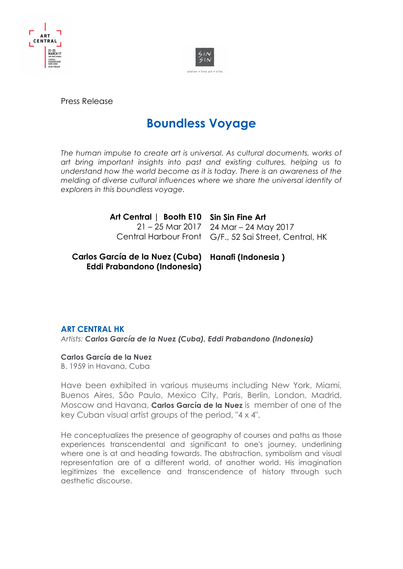



Press Release

# **Boundless Voyage**

The human impulse to create art is universal. As cultural documents, works of *art bring important insights into past and existing cultures, helping us to understand how the world become as it is today. There is an awareness of the melding of diverse cultural influences where we share the universal identity of explorers in this boundless voyage.*

> **Art Central | Booth E10 Sin Sin Fine Art** 21 – 25 Mar 2017 24 Mar – 24 May 2017 Central Harbour Front G/F., 52 Sai Street, Central, HK

**Carlos García de la Nuez (Cuba) Hanafi (Indonesia )Eddi Prabandono (Indonesia)**

## **ART CENTRAL HK**

*Artists: Carlos García de la Nuez (Cuba), Eddi Prabandono (Indonesia)*

### **Carlos García de la Nuez**

B. 1959 in Havana, Cuba

Have been exhibited in various museums including New York, Miami, Buenos Aires, São Paulo, Mexico City, Paris, Berlin, London, Madrid, Moscow and Havana, **Carlos García de la Nuez** is member of one of the key Cuban visual artist groups of the period, "4 x 4".

He conceptualizes the presence of geography of courses and paths as those experiences transcendental and significant to one's journey, underlining where one is at and heading towards. The abstraction, symbolism and visual representation are of a different world, of another world. His imagination legitimizes the excellence and transcendence of history through such aesthetic discourse.